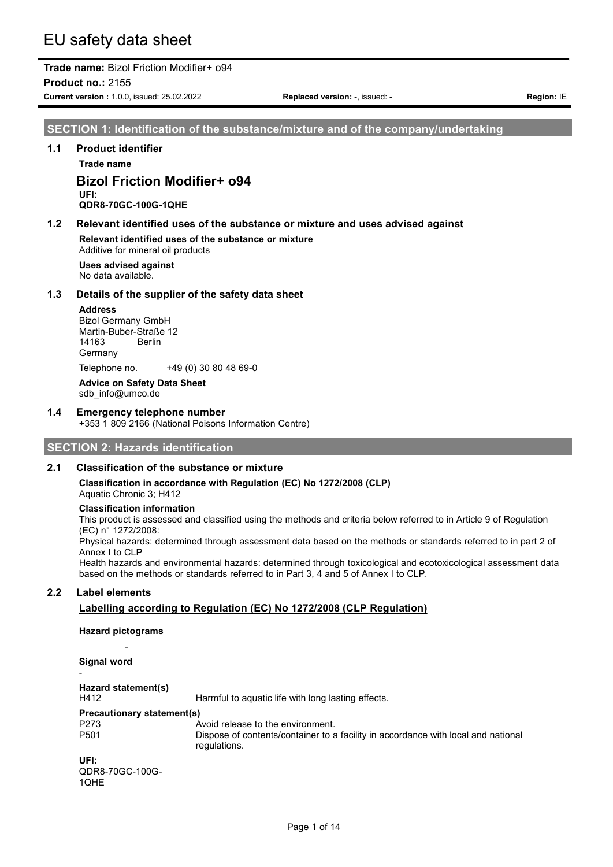# EU safety data sheet

**Trade name:** Bizol Friction Modifier+ o94

**Product no.:** 2155

**Current version :** 1.0.0, issued: 25.02.2022 **Replaced version:** -, issued: - **Region:** IE

**SECTION 1: Identification of the substance/mixture and of the company/undertaking**

#### **1.1 Product identifier**

**Trade name**

**Bizol Friction Modifier+ o94 UFI: QDR8-70GC-100G-1QHE**

#### **1.2 Relevant identified uses of the substance or mixture and uses advised against**

**Relevant identified uses of the substance or mixture** Additive for mineral oil products

**Uses advised against** No data available.

#### **1.3 Details of the supplier of the safety data sheet**

#### **Address**

Bizol Germany GmbH Martin-Buber-Straße 12 14163 Berlin Germany Telephone no. +49 (0) 30 80 48 69-0

**Advice on Safety Data Sheet** sdb\_info@umco.de

**1.4 Emergency telephone number**

+353 1 809 2166 (National Poisons Information Centre)

#### **SECTION 2: Hazards identification**

# **2.1 Classification of the substance or mixture**

**Classification in accordance with Regulation (EC) No 1272/2008 (CLP)**

Aquatic Chronic 3; H412

#### **Classification information**

This product is assessed and classified using the methods and criteria below referred to in Article 9 of Regulation (EC) n° 1272/2008:

Physical hazards: determined through assessment data based on the methods or standards referred to in part 2 of Annex I to CLP

Health hazards and environmental hazards: determined through toxicological and ecotoxicological assessment data based on the methods or standards referred to in Part 3, 4 and 5 of Annex I to CLP.

# **2.2 Label elements**

#### **Labelling according to Regulation (EC) No 1272/2008 (CLP Regulation)**

**Hazard pictograms**

| $\,$                            |                                                                                                   |
|---------------------------------|---------------------------------------------------------------------------------------------------|
| Signal word                     |                                                                                                   |
|                                 |                                                                                                   |
| Hazard statement(s)<br>H412     | Harmful to aquatic life with long lasting effects.                                                |
| Precautionary statement(s)      |                                                                                                   |
| P <sub>273</sub>                | Avoid release to the environment.                                                                 |
| P <sub>501</sub>                | Dispose of contents/container to a facility in accordance with local and national<br>regulations. |
| UFI:<br>QDR8-70GC-100G-<br>1QHE |                                                                                                   |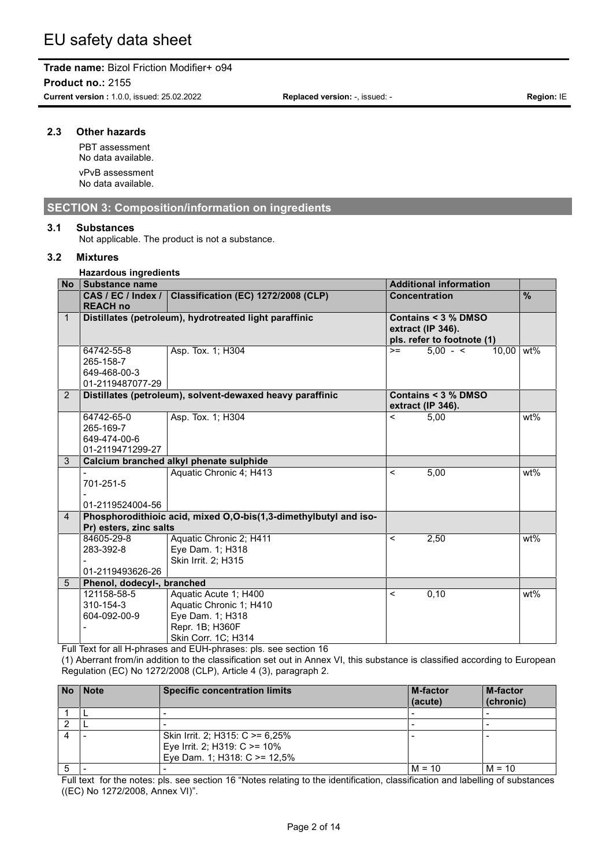**Product no.:** 2155

**Current version :** 1.0.0, issued: 25.02.2022 **Replaced version:** -, issued: - **Region:** IE

# **2.3 Other hazards**

PBT assessment No data available. vPvB assessment No data available.

# **SECTION 3: Composition/information on ingredients**

#### **3.1 Substances**

Not applicable. The product is not a substance.

#### **3.2 Mixtures**

#### **Hazardous ingredients**

| <b>No</b>      | <b>Substance name</b>      |                                                                  |                                                 | <b>Additional information</b> |               |
|----------------|----------------------------|------------------------------------------------------------------|-------------------------------------------------|-------------------------------|---------------|
|                | CAS / EC / Index /         | Classification (EC) 1272/2008 (CLP)                              | <b>Concentration</b>                            |                               | $\frac{9}{6}$ |
|                | <b>REACH no</b>            |                                                                  |                                                 |                               |               |
| $\mathbf{1}$   |                            | Distillates (petroleum), hydrotreated light paraffinic           |                                                 | Contains < 3 % DMSO           |               |
|                |                            |                                                                  | extract (IP 346).<br>pls. refer to footnote (1) |                               |               |
|                |                            |                                                                  |                                                 |                               |               |
|                | 64742-55-8                 | Asp. Tox. 1; H304                                                | $>=$                                            | $5.00 - 5$<br>10.00           | wt%           |
|                | 265-158-7                  |                                                                  |                                                 |                               |               |
|                | 649-468-00-3               |                                                                  |                                                 |                               |               |
| 2              | 01-2119487077-29           | Distillates (petroleum), solvent-dewaxed heavy paraffinic        |                                                 | Contains < 3 % DMSO           |               |
|                |                            |                                                                  |                                                 | extract (IP 346).             |               |
|                | 64742-65-0                 | Asp. Tox. 1; H304                                                | $\overline{\phantom{a}}$                        | 5,00                          | wt%           |
|                | 265-169-7                  |                                                                  |                                                 |                               |               |
|                | 649-474-00-6               |                                                                  |                                                 |                               |               |
|                | 01-2119471299-27           |                                                                  |                                                 |                               |               |
| 3              |                            | Calcium branched alkyl phenate sulphide                          |                                                 |                               |               |
|                |                            | Aquatic Chronic 4; H413                                          | $\,<\,$                                         | 5,00                          | wt%           |
|                | 701-251-5                  |                                                                  |                                                 |                               |               |
|                |                            |                                                                  |                                                 |                               |               |
|                | 01-2119524004-56           |                                                                  |                                                 |                               |               |
| $\overline{A}$ |                            | Phosphorodithioic acid, mixed O,O-bis(1,3-dimethylbutyl and iso- |                                                 |                               |               |
|                | Pr) esters, zinc salts     |                                                                  |                                                 |                               |               |
|                | 84605-29-8                 | Aquatic Chronic 2; H411                                          | $\prec$                                         | 2,50                          | wt%           |
|                | 283-392-8                  | Eye Dam. 1; H318                                                 |                                                 |                               |               |
|                |                            | Skin Irrit. 2; H315                                              |                                                 |                               |               |
|                | 01-2119493626-26           |                                                                  |                                                 |                               |               |
| 5              | Phenol, dodecyl-, branched |                                                                  |                                                 |                               |               |
|                | 121158-58-5                | Aquatic Acute 1; H400                                            | $\,<\,$                                         | 0, 10                         | wt%           |
|                | 310-154-3                  | Aquatic Chronic 1; H410                                          |                                                 |                               |               |
|                | 604-092-00-9               | Eye Dam. 1; H318                                                 |                                                 |                               |               |
|                |                            | Repr. 1B; H360F                                                  |                                                 |                               |               |
|                |                            | Skin Corr. 1C; H314                                              |                                                 |                               |               |

Full Text for all H-phrases and EUH-phrases: pls. see section 16

(1) Aberrant from/in addition to the classification set out in Annex VI, this substance is classified according to European Regulation (EC) No 1272/2008 (CLP), Article 4 (3), paragraph 2.

| <b>No</b> | <b>Note</b> | <b>Specific concentration limits</b> | M-factor<br>(acute) | <b>M-factor</b><br>(chronic) |
|-----------|-------------|--------------------------------------|---------------------|------------------------------|
|           |             |                                      |                     |                              |
|           |             |                                      |                     |                              |
|           |             | Skin Irrit. 2; H315: C >= 6,25%      |                     |                              |
|           |             | Eye Irrit. 2; H319: C >= 10%         |                     |                              |
|           |             | Eye Dam. 1; H318: $C \ge 12,5\%$     |                     |                              |
| 5         |             |                                      | $M = 10$            | $M = 10$                     |

Full text for the notes: pls. see section 16 "Notes relating to the identification, classification and labelling of substances ((EC) No 1272/2008, Annex VI)".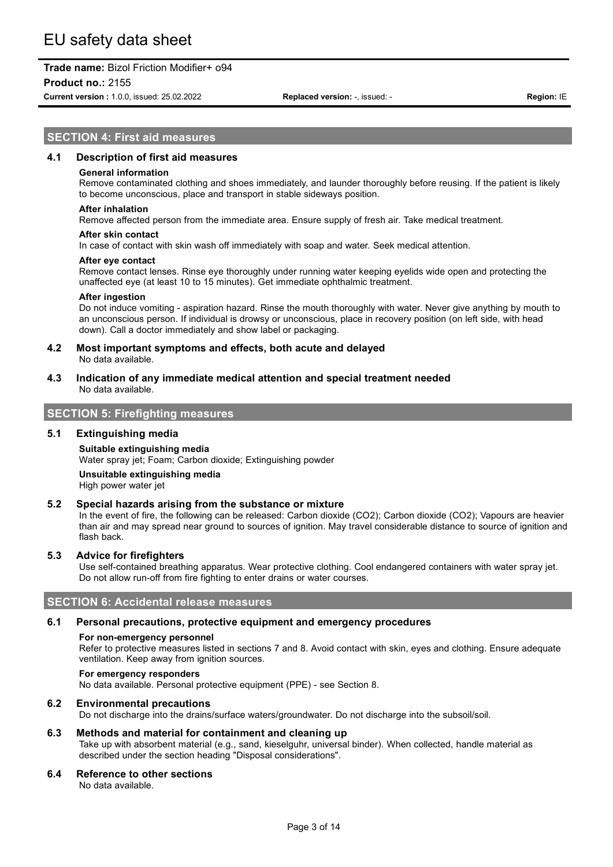#### **Product no.:** 2155

**Current version :** 1.0.0, issued: 25.02.2022 **Replaced version:** -, issued: - **Region:** IE

## **SECTION 4: First aid measures**

#### **4.1 Description of first aid measures**

#### **General information**

Remove contaminated clothing and shoes immediately, and launder thoroughly before reusing. If the patient is likely to become unconscious, place and transport in stable sideways position.

#### **After inhalation**

Remove affected person from the immediate area. Ensure supply of fresh air. Take medical treatment.

#### **After skin contact**

In case of contact with skin wash off immediately with soap and water. Seek medical attention.

#### **After eye contact**

Remove contact lenses. Rinse eye thoroughly under running water keeping eyelids wide open and protecting the unaffected eye (at least 10 to 15 minutes). Get immediate ophthalmic treatment.

#### **After ingestion**

Do not induce vomiting - aspiration hazard. Rinse the mouth thoroughly with water. Never give anything by mouth to an unconscious person. If individual is drowsy or unconscious, place in recovery position (on left side, with head down). Call a doctor immediately and show label or packaging.

#### **4.2 Most important symptoms and effects, both acute and delayed** No data available.

**4.3 Indication of any immediate medical attention and special treatment needed** No data available.

# **SECTION 5: Firefighting measures**

#### **5.1 Extinguishing media**

# **Suitable extinguishing media** Water spray jet; Foam; Carbon dioxide; Extinguishing powder

#### **Unsuitable extinguishing media** High power water jet

#### **5.2 Special hazards arising from the substance or mixture**

In the event of fire, the following can be released: Carbon dioxide (CO2); Carbon dioxide (CO2); Vapours are heavier than air and may spread near ground to sources of ignition. May travel considerable distance to source of ignition and flash back.

#### **5.3 Advice for firefighters**

Use self-contained breathing apparatus. Wear protective clothing. Cool endangered containers with water spray jet. Do not allow run-off from fire fighting to enter drains or water courses.

#### **SECTION 6: Accidental release measures**

#### **6.1 Personal precautions, protective equipment and emergency procedures**

#### **For non-emergency personnel**

Refer to protective measures listed in sections 7 and 8. Avoid contact with skin, eyes and clothing. Ensure adequate ventilation. Keep away from ignition sources.

#### **For emergency responders**

No data available. Personal protective equipment (PPE) - see Section 8.

#### **6.2 Environmental precautions**

Do not discharge into the drains/surface waters/groundwater. Do not discharge into the subsoil/soil.

#### **6.3 Methods and material for containment and cleaning up**

Take up with absorbent material (e.g., sand, kieselguhr, universal binder). When collected, handle material as described under the section heading "Disposal considerations".

#### **6.4 Reference to other sections**

No data available.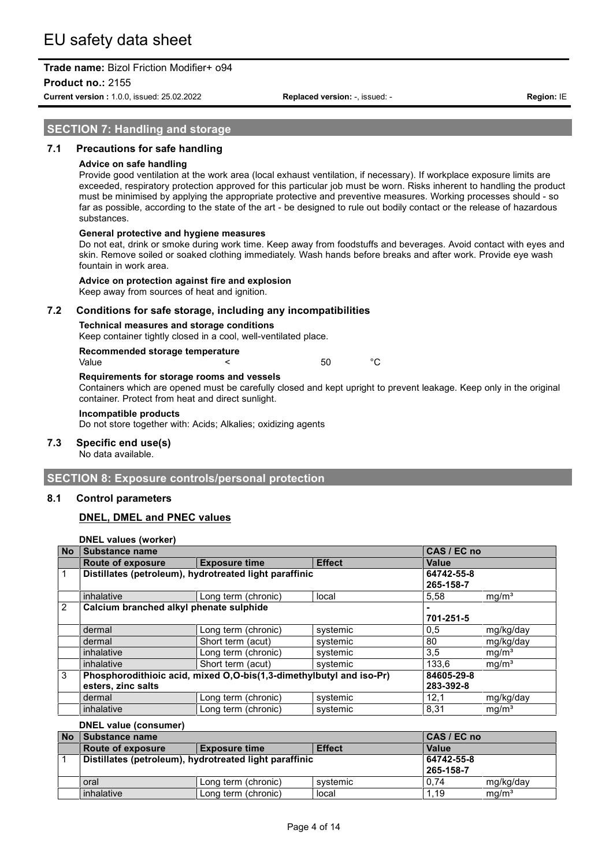**Product no.:** 2155

**Current version :** 1.0.0, issued: 25.02.2022 **Replaced version:** -, issued: - **Region:** IE

# **SECTION 7: Handling and storage**

# **7.1 Precautions for safe handling**

#### **Advice on safe handling**

Provide good ventilation at the work area (local exhaust ventilation, if necessary). If workplace exposure limits are exceeded, respiratory protection approved for this particular job must be worn. Risks inherent to handling the product must be minimised by applying the appropriate protective and preventive measures. Working processes should - so far as possible, according to the state of the art - be designed to rule out bodily contact or the release of hazardous substances.

#### **General protective and hygiene measures**

Do not eat, drink or smoke during work time. Keep away from foodstuffs and beverages. Avoid contact with eyes and skin. Remove soiled or soaked clothing immediately. Wash hands before breaks and after work. Provide eye wash fountain in work area.

#### **Advice on protection against fire and explosion**

Keep away from sources of heat and ignition.

# **7.2 Conditions for safe storage, including any incompatibilities**

### **Technical measures and storage conditions**

Keep container tightly closed in a cool, well-ventilated place.

**Recommended storage temperature** Value < 50 °C

# **Requirements for storage rooms and vessels**

Containers which are opened must be carefully closed and kept upright to prevent leakage. Keep only in the original container. Protect from heat and direct sunlight.

#### **Incompatible products**

Do not store together with: Acids; Alkalies; oxidizing agents

#### **7.3 Specific end use(s)**

No data available.

# **SECTION 8: Exposure controls/personal protection**

#### **8.1 Control parameters**

# **DNEL, DMEL and PNEC values**

**DNEL values (worker)**

| <b>No</b>      | <b>Substance name</b>                   |                                                                     |               | CAS / EC no |                   |
|----------------|-----------------------------------------|---------------------------------------------------------------------|---------------|-------------|-------------------|
|                | <b>Route of exposure</b>                | <b>Exposure time</b>                                                | <b>Effect</b> | Value       |                   |
| $\overline{1}$ |                                         | Distillates (petroleum), hydrotreated light paraffinic              |               | 64742-55-8  |                   |
|                |                                         |                                                                     |               | 265-158-7   |                   |
|                | inhalative                              | Long term (chronic)                                                 | local         | 5,58        | mg/m <sup>3</sup> |
| $\overline{2}$ | Calcium branched alkyl phenate sulphide |                                                                     |               |             |                   |
|                |                                         |                                                                     |               | 701-251-5   |                   |
|                | dermal                                  | Long term (chronic)                                                 | systemic      | 0,5         | mg/kg/day         |
|                | dermal                                  | Short term (acut)                                                   | systemic      | 80          | mg/kg/day         |
|                | inhalative                              | Long term (chronic)                                                 | systemic      | 3,5         | mg/m <sup>3</sup> |
|                | inhalative                              | Short term (acut)                                                   | systemic      | 133,6       | mq/m <sup>3</sup> |
| 3              |                                         | Phosphorodithioic acid, mixed O,O-bis(1,3-dimethylbutyl and iso-Pr) |               | 84605-29-8  |                   |
|                | esters, zinc salts                      |                                                                     |               | 283-392-8   |                   |
|                | dermal                                  | Long term (chronic)                                                 | systemic      | 12,1        | mg/kg/day         |
|                | inhalative                              | Long term (chronic)                                                 | systemic      | 8,31        | mq/m <sup>3</sup> |

# **DNEL value (consumer)**

| <b>No</b> | <b>Substance name</b>                                  |                      |               | CAS / EC no  |                   |
|-----------|--------------------------------------------------------|----------------------|---------------|--------------|-------------------|
|           | Route of exposure                                      | <b>Exposure time</b> | <b>Effect</b> | <b>Value</b> |                   |
|           | Distillates (petroleum), hydrotreated light paraffinic |                      |               | 64742-55-8   |                   |
|           |                                                        |                      |               | 265-158-7    |                   |
|           | oral                                                   | Long term (chronic)  | systemic      | 0.74         | mg/kg/day         |
|           | inhalative                                             | Long term (chronic)  | local         | 1.19         | mg/m <sup>3</sup> |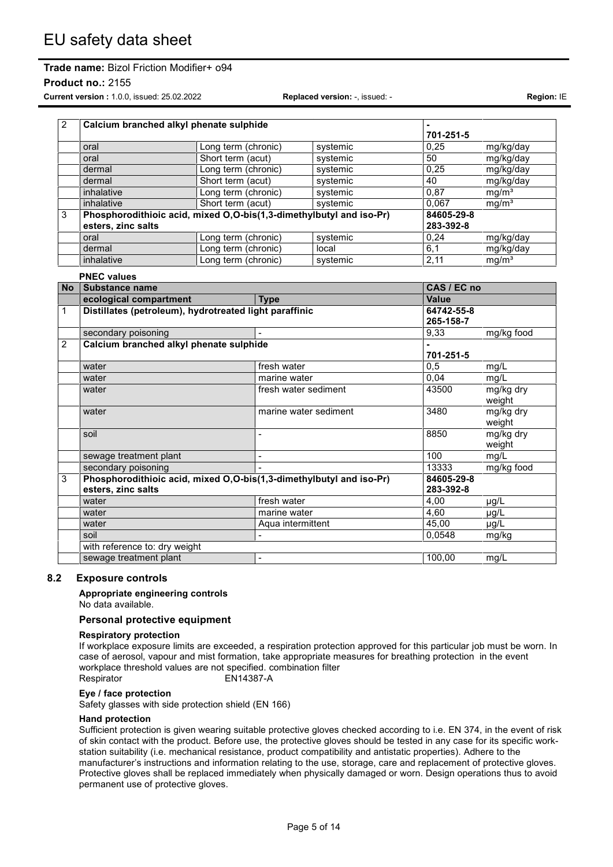**Product no.:** 2155

**Current version :** 1.0.0, issued: 25.02.2022 **Replaced version:** -, issued: - **Region:** IE

| $\overline{2}$ | Calcium branched alkyl phenate sulphide |                                                                     |          |            |                   |
|----------------|-----------------------------------------|---------------------------------------------------------------------|----------|------------|-------------------|
|                |                                         |                                                                     |          | 701-251-5  |                   |
|                | oral                                    | Long term (chronic)                                                 | systemic | 0.25       | mg/kg/day         |
|                | oral                                    | Short term (acut)                                                   | systemic | 50         | mg/kg/day         |
|                | dermal                                  | Long term (chronic)                                                 | systemic | 0.25       | mg/kg/day         |
|                | dermal                                  | Short term (acut)                                                   | systemic | 40         | mg/kg/day         |
|                | inhalative                              | Long term (chronic)                                                 | systemic | 0.87       | mg/m <sup>3</sup> |
|                | inhalative                              | Short term (acut)                                                   | systemic | 0.067      | mq/m <sup>3</sup> |
| 3              |                                         | Phosphorodithioic acid, mixed O,O-bis(1,3-dimethylbutyl and iso-Pr) |          | 84605-29-8 |                   |
|                | esters, zinc salts                      |                                                                     |          | 283-392-8  |                   |
|                | oral                                    | Long term (chronic)                                                 | systemic | 0.24       | mg/kg/day         |
|                | dermal                                  | Long term (chronic)                                                 | local    | 6,1        | mg/kg/day         |
|                | inhalative                              | Long term (chronic)                                                 | systemic | 2,11       | mg/m <sup>3</sup> |

#### **PNEC values**

|                | .                                                                   |                       |             |            |
|----------------|---------------------------------------------------------------------|-----------------------|-------------|------------|
| No.            | <b>Substance name</b>                                               |                       | CAS / EC no |            |
|                | ecological compartment                                              | <b>Type</b>           | Value       |            |
| 1              | Distillates (petroleum), hydrotreated light paraffinic              |                       | 64742-55-8  |            |
|                |                                                                     |                       | 265-158-7   |            |
|                | secondary poisoning                                                 |                       | 9,33        | mg/kg food |
| $\overline{2}$ | Calcium branched alkyl phenate sulphide                             |                       |             |            |
|                |                                                                     |                       | 701-251-5   |            |
|                | water                                                               | fresh water           | 0,5         | mg/L       |
|                | water                                                               | marine water          | 0,04        | mg/L       |
|                | water                                                               | fresh water sediment  | 43500       | mg/kg dry  |
|                |                                                                     |                       |             | weight     |
|                | water                                                               | marine water sediment | 3480        | mg/kg dry  |
|                |                                                                     |                       |             | weight     |
|                | soil                                                                |                       | 8850        | mg/kg dry  |
|                |                                                                     |                       |             | weight     |
|                | sewage treatment plant                                              |                       | 100         | mg/L       |
|                | secondary poisoning                                                 |                       | 13333       | mg/kg food |
| 3              | Phosphorodithioic acid, mixed O,O-bis(1,3-dimethylbutyl and iso-Pr) |                       | 84605-29-8  |            |
|                | esters, zinc salts                                                  |                       | 283-392-8   |            |
|                | water                                                               | fresh water           | 4,00        | $\mu$ g/L  |
|                | water                                                               | marine water          | 4,60        | $\mu$ g/L  |
|                | water                                                               | Aqua intermittent     | 45,00       | $\mu$ g/L  |
|                | soil                                                                |                       | 0.0548      | mg/kg      |
|                | with reference to: dry weight                                       |                       |             |            |
|                | sewage treatment plant                                              |                       | 100,00      | mg/L       |

# **8.2 Exposure controls**

**Appropriate engineering controls** No data available.

#### **Personal protective equipment**

#### **Respiratory protection**

If workplace exposure limits are exceeded, a respiration protection approved for this particular job must be worn. In case of aerosol, vapour and mist formation, take appropriate measures for breathing protection in the event workplace threshold values are not specified. combination filter Respirator EN14387-A

# **Eye / face protection**

Safety glasses with side protection shield (EN 166)

#### **Hand protection**

Sufficient protection is given wearing suitable protective gloves checked according to i.e. EN 374, in the event of risk of skin contact with the product. Before use, the protective gloves should be tested in any case for its specific workstation suitability (i.e. mechanical resistance, product compatibility and antistatic properties). Adhere to the manufacturer's instructions and information relating to the use, storage, care and replacement of protective gloves. Protective gloves shall be replaced immediately when physically damaged or worn. Design operations thus to avoid permanent use of protective gloves.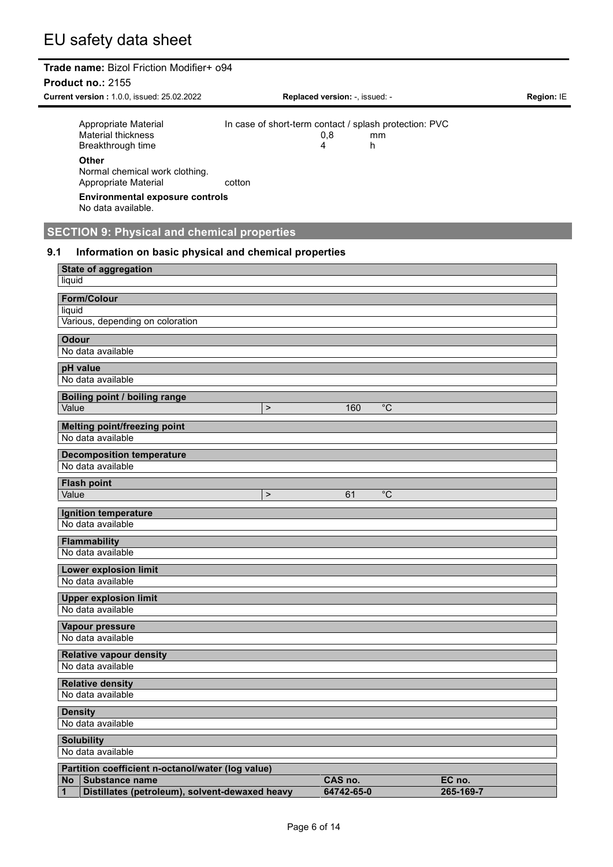| <b>Product no.: 2155</b><br>Current version: 1.0.0, issued: 25.02.2022                                                                                                                                    | Replaced version: -, issued: -                                                          | Region: IE |
|-----------------------------------------------------------------------------------------------------------------------------------------------------------------------------------------------------------|-----------------------------------------------------------------------------------------|------------|
| Appropriate Material<br><b>Material thickness</b><br>Breakthrough time<br>Other<br>Normal chemical work clothing.<br>Appropriate Material<br><b>Environmental exposure controls</b><br>No data available. | In case of short-term contact / splash protection: PVC<br>0,8<br>mm<br>4<br>h<br>cotton |            |
| <b>SECTION 9: Physical and chemical properties</b>                                                                                                                                                        |                                                                                         |            |
| Information on basic physical and chemical properties<br>9.1                                                                                                                                              |                                                                                         |            |
| <b>State of aggregation</b>                                                                                                                                                                               |                                                                                         |            |
| liquid<br><b>Form/Colour</b>                                                                                                                                                                              |                                                                                         |            |
| liquid                                                                                                                                                                                                    |                                                                                         |            |
| Various, depending on coloration                                                                                                                                                                          |                                                                                         |            |
| <b>Odour</b><br>No data available                                                                                                                                                                         |                                                                                         |            |
| pH value                                                                                                                                                                                                  |                                                                                         |            |
| No data available                                                                                                                                                                                         |                                                                                         |            |
| Boiling point / boiling range<br>Value                                                                                                                                                                    | $^{\circ}$ C<br>$\geq$<br>160                                                           |            |
| <b>Melting point/freezing point</b>                                                                                                                                                                       |                                                                                         |            |
| No data available                                                                                                                                                                                         |                                                                                         |            |
| <b>Decomposition temperature</b><br>No data available                                                                                                                                                     |                                                                                         |            |
| <b>Flash point</b>                                                                                                                                                                                        |                                                                                         |            |
| Value                                                                                                                                                                                                     | $^{\circ}C$<br>61<br>$\geq$                                                             |            |
| <b>Ignition temperature</b>                                                                                                                                                                               |                                                                                         |            |
| No data available                                                                                                                                                                                         |                                                                                         |            |
| <b>Flammability</b><br>No data available                                                                                                                                                                  |                                                                                         |            |
| Lower explosion limit<br>No data available                                                                                                                                                                |                                                                                         |            |
| <b>Upper explosion limit</b><br>No data available                                                                                                                                                         |                                                                                         |            |
| Vapour pressure<br>No data available                                                                                                                                                                      |                                                                                         |            |
| <b>Relative vapour density</b><br>No data available                                                                                                                                                       |                                                                                         |            |
| <b>Relative density</b><br>No data available                                                                                                                                                              |                                                                                         |            |
| <b>Density</b>                                                                                                                                                                                            |                                                                                         |            |

| <b>Solubility</b> |  |
|-------------------|--|
| No data available |  |
|                   |  |

No data available

| no uala avallable                                 |            |           |  |  |
|---------------------------------------------------|------------|-----------|--|--|
|                                                   |            |           |  |  |
| Partition coefficient n-octanol/water (log value) |            |           |  |  |
| No Substance name                                 | CAS no.    | EC no.    |  |  |
| Distillates (petroleum), solvent-dewaxed heavy    | 64742-65-0 | 265-169-7 |  |  |
|                                                   |            |           |  |  |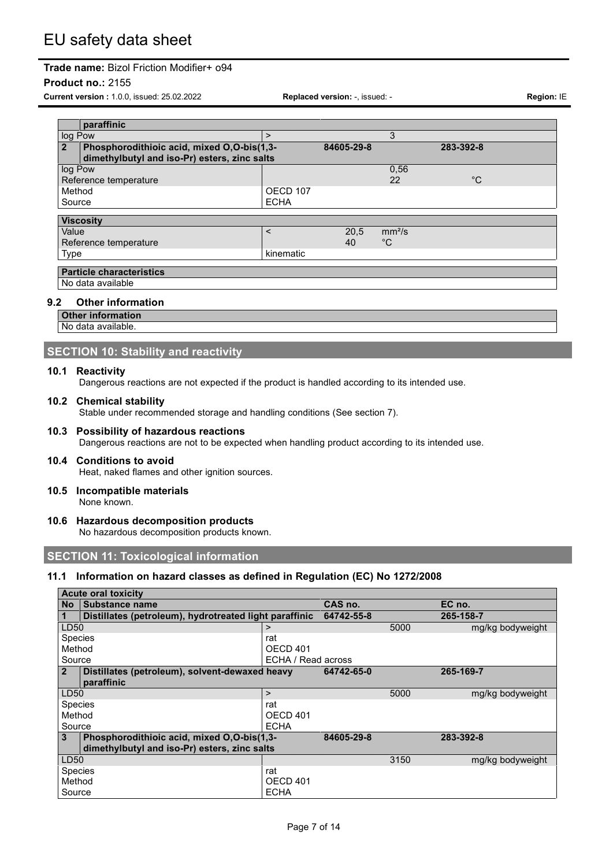## **Product no.:** 2155

**Current version :** 1.0.0, issued: 25.02.2022 **Replaced version:** -, issued: - **Region:** IE

|                | paraffinic                                   |                          |            |                    |           |  |
|----------------|----------------------------------------------|--------------------------|------------|--------------------|-----------|--|
| log Pow        |                                              | >                        |            | 3                  |           |  |
| $\overline{2}$ | Phosphorodithioic acid, mixed O,O-bis(1,3-   |                          | 84605-29-8 |                    | 283-392-8 |  |
|                | dimethylbutyl and iso-Pr) esters, zinc salts |                          |            |                    |           |  |
| log Pow        |                                              |                          |            | 0.56               |           |  |
|                | Reference temperature                        |                          |            | 22                 | °C        |  |
| Method         |                                              | OECD 107                 |            |                    |           |  |
| Source         |                                              | <b>ECHA</b>              |            |                    |           |  |
|                |                                              |                          |            |                    |           |  |
|                | <b>Viscosity</b>                             |                          |            |                    |           |  |
| Value          |                                              | $\overline{\phantom{a}}$ | 20.5       | mm <sup>2</sup> /s |           |  |
|                | Reference temperature                        |                          | 40         | $^{\circ}C$        |           |  |
| Type           |                                              | kinematic                |            |                    |           |  |
|                |                                              |                          |            |                    |           |  |
|                | <b>Particle characteristics</b>              |                          |            |                    |           |  |
|                | I No data available                          |                          |            |                    |           |  |

#### **9.2 Other information**

**Other information**

# No data available.

# **SECTION 10: Stability and reactivity**

#### **10.1 Reactivity**

Dangerous reactions are not expected if the product is handled according to its intended use.

#### **10.2 Chemical stability**

Stable under recommended storage and handling conditions (See section 7).

# **10.3 Possibility of hazardous reactions**

Dangerous reactions are not to be expected when handling product according to its intended use.

# **10.4 Conditions to avoid**

Heat, naked flames and other ignition sources.

#### **10.5 Incompatible materials** None known.

**10.6 Hazardous decomposition products**

No hazardous decomposition products known.

# **SECTION 11: Toxicological information**

## **11.1 Information on hazard classes as defined in Regulation (EC) No 1272/2008**

|                | <b>Acute oral toxicity</b>                             |                     |            |      |                  |  |
|----------------|--------------------------------------------------------|---------------------|------------|------|------------------|--|
| <b>No</b>      | Substance name                                         |                     | CAS no.    |      | EC no.           |  |
| $\mathbf 1$    | Distillates (petroleum), hydrotreated light paraffinic |                     | 64742-55-8 |      | 265-158-7        |  |
| LD50           |                                                        | ⋗                   |            | 5000 | mg/kg bodyweight |  |
| Species        |                                                        | rat                 |            |      |                  |  |
| Method         |                                                        | <b>OECD 401</b>     |            |      |                  |  |
| Source         |                                                        | ECHA / Read across  |            |      |                  |  |
| $\overline{2}$ | Distillates (petroleum), solvent-dewaxed heavy         |                     | 64742-65-0 |      | 265-169-7        |  |
|                | paraffinic                                             |                     |            |      |                  |  |
| LD50           |                                                        | $\geq$              |            | 5000 | mg/kg bodyweight |  |
| <b>Species</b> |                                                        | rat                 |            |      |                  |  |
| Method         |                                                        | OECD <sub>401</sub> |            |      |                  |  |
| Source         |                                                        | <b>ECHA</b>         |            |      |                  |  |
| 3              | Phosphorodithioic acid, mixed O,O-bis(1,3-             |                     | 84605-29-8 |      | 283-392-8        |  |
|                | dimethylbutyl and iso-Pr) esters, zinc salts           |                     |            |      |                  |  |
| LD50           |                                                        |                     |            | 3150 | mg/kg bodyweight |  |
| Species        |                                                        | rat                 |            |      |                  |  |
| Method         |                                                        | <b>OECD 401</b>     |            |      |                  |  |
| Source         |                                                        | <b>ECHA</b>         |            |      |                  |  |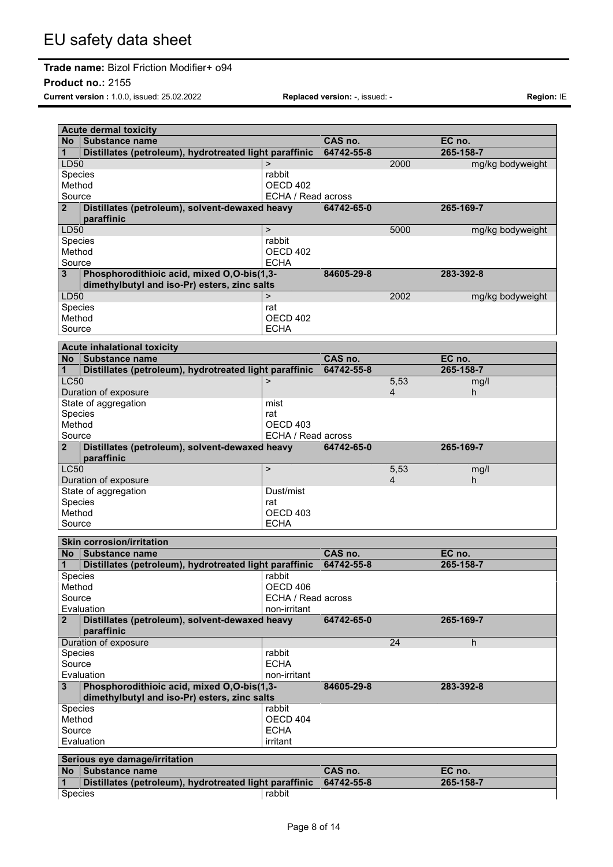#### **Product no.:** 2155

**Current version :** 1.0.0, issued: 25.02.2022 **Replaced version:** -, issued: - **Region:** IE

| <b>Acute dermal toxicity</b>                                     |                    |            |      |                  |
|------------------------------------------------------------------|--------------------|------------|------|------------------|
| Substance name<br><b>No</b>                                      |                    | CAS no.    |      | EC no.           |
| Distillates (petroleum), hydrotreated light paraffinic<br>1      |                    | 64742-55-8 |      | 265-158-7        |
| LD50                                                             | $\geq$             |            | 2000 | mg/kg bodyweight |
| Species                                                          | rabbit             |            |      |                  |
| Method                                                           | OECD 402           |            |      |                  |
| Source                                                           | ECHA / Read across |            |      |                  |
| $\overline{2}$<br>Distillates (petroleum), solvent-dewaxed heavy |                    | 64742-65-0 |      | 265-169-7        |
| paraffinic                                                       |                    |            |      |                  |
| LD50                                                             | $\geq$             |            | 5000 | mg/kg bodyweight |
| Species                                                          | rabbit             |            |      |                  |
| Method                                                           | OECD 402           |            |      |                  |
| Source                                                           | <b>ECHA</b>        |            |      |                  |
| Phosphorodithioic acid, mixed O,O-bis(1,3-<br>3                  |                    | 84605-29-8 |      | 283-392-8        |
| dimethylbutyl and iso-Pr) esters, zinc salts                     |                    |            |      |                  |
| LD50                                                             | $\mathbf{L}$       |            | 2002 | mg/kg bodyweight |
| Species                                                          | rat                |            |      |                  |
| Method                                                           | OECD 402           |            |      |                  |
| Source                                                           | <b>ECHA</b>        |            |      |                  |
| <b>Acute inhalational toxicity</b>                               |                    |            |      |                  |
| <b>No</b><br><b>Substance name</b>                               |                    | CAS no.    |      | EC no.           |
| 1<br>Distillates (petroleum), hydrotreated light paraffinic      |                    | 64742-55-8 |      | 265-158-7        |
| <b>LC50</b>                                                      | $\geq$             |            | 5,53 | mg/l             |
| Duration of exposure                                             |                    |            | 4    | h.               |
| State of aggregation                                             | mist               |            |      |                  |
| Species                                                          | rat                |            |      |                  |
| Method                                                           | OECD 403           |            |      |                  |
| Source                                                           | ECHA / Read across |            |      |                  |
| $\overline{2}$<br>Distillates (petroleum), solvent-dewaxed heavy |                    | 64742-65-0 |      | 265-169-7        |
| paraffinic                                                       |                    |            |      |                  |
| <b>LC50</b>                                                      | $\mathbf{L}$       |            | 5,53 | mg/l             |
| Duration of exposure                                             |                    |            | 4    | h.               |
| State of aggregation                                             | Dust/mist          |            |      |                  |
| Species                                                          | rat                |            |      |                  |
| Method                                                           | OECD 403           |            |      |                  |
| Source                                                           | <b>ECHA</b>        |            |      |                  |
|                                                                  |                    |            |      |                  |
| <b>Skin corrosion/irritation</b>                                 |                    |            |      |                  |
| Substance name<br><b>No</b>                                      |                    | CAS no.    |      | EC no.           |
| Distillates (petroleum), hydrotreated light paraffinic<br>1      |                    | 64742-55-8 |      | 265-158-7        |
| Species                                                          | rabbit             |            |      |                  |
| Method                                                           | OECD 406           |            |      |                  |
| Source                                                           | ECHA / Read across |            |      |                  |
| Evaluation                                                       | non-irritant       |            |      |                  |
| $\overline{2}$<br>Distillates (petroleum), solvent-dewaxed heavy |                    | 64742-65-0 |      | 265-169-7        |
| paraffinic                                                       |                    |            |      |                  |
| Duration of exposure                                             |                    |            | 24   | h                |
| <b>Species</b>                                                   | rabbit             |            |      |                  |
| Source                                                           | <b>ECHA</b>        |            |      |                  |
| Evaluation                                                       | non-irritant       |            |      |                  |
| Phosphorodithioic acid, mixed O,O-bis(1,3-<br>3                  |                    | 84605-29-8 |      | 283-392-8        |
| dimethylbutyl and iso-Pr) esters, zinc salts                     |                    |            |      |                  |
| Species                                                          | rabbit             |            |      |                  |
| Method                                                           | OECD 404           |            |      |                  |
| Source                                                           | <b>ECHA</b>        |            |      |                  |
| Evaluation                                                       | irritant           |            |      |                  |
| Serious eye damage/irritation                                    |                    |            |      |                  |
| No Substance name                                                |                    | CAS no.    |      | EC no.           |
| Distillates (petroleum), hydrotreated light paraffinic           |                    | 64742-55-8 |      | 265-158-7        |
| Species                                                          | rabbit             |            |      |                  |
|                                                                  |                    |            |      |                  |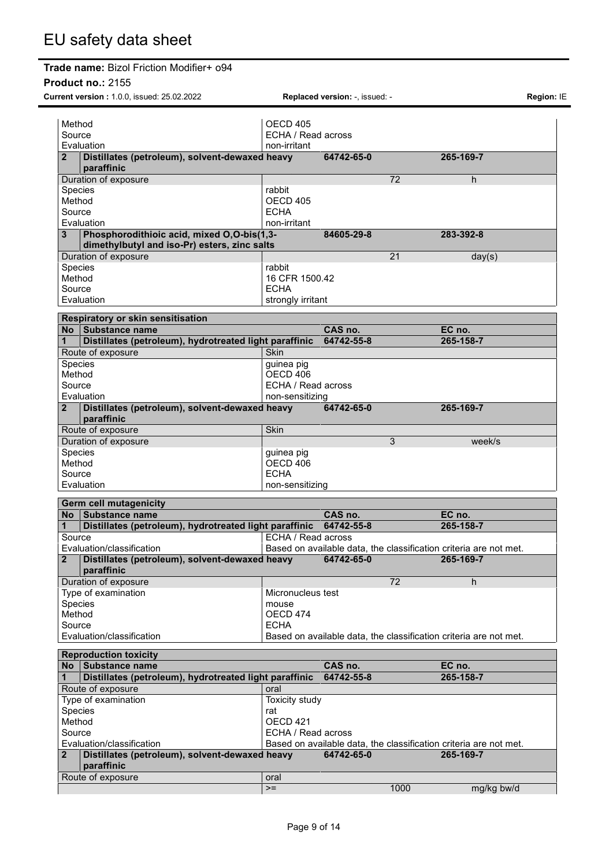# **Product no.:** 2155

|                | <b>Current version: 1.0.0, issued: 25.02.2022</b>                                          |                    | Replaced version: -, issued: - |      |                                                                   | Region: IE |
|----------------|--------------------------------------------------------------------------------------------|--------------------|--------------------------------|------|-------------------------------------------------------------------|------------|
|                |                                                                                            |                    |                                |      |                                                                   |            |
| Method         |                                                                                            | OECD 405           |                                |      |                                                                   |            |
| Source         |                                                                                            | ECHA / Read across |                                |      |                                                                   |            |
|                | Evaluation                                                                                 | non-irritant       |                                |      |                                                                   |            |
| $\overline{2}$ | Distillates (petroleum), solvent-dewaxed heavy                                             |                    | 64742-65-0                     |      | 265-169-7                                                         |            |
|                | paraffinic                                                                                 |                    |                                |      |                                                                   |            |
|                | Duration of exposure                                                                       |                    |                                | 72   | h.                                                                |            |
| Species        |                                                                                            | rabbit             |                                |      |                                                                   |            |
| Method         |                                                                                            | OECD 405           |                                |      |                                                                   |            |
| Source         |                                                                                            | <b>ECHA</b>        |                                |      |                                                                   |            |
|                | Evaluation                                                                                 | non-irritant       |                                |      |                                                                   |            |
| 3              | Phosphorodithioic acid, mixed O,O-bis(1,3-<br>dimethylbutyl and iso-Pr) esters, zinc salts |                    | 84605-29-8                     |      | 283-392-8                                                         |            |
|                | Duration of exposure                                                                       |                    |                                | 21   | day(s)                                                            |            |
| Species        |                                                                                            | rabbit             |                                |      |                                                                   |            |
| Method         |                                                                                            | 16 CFR 1500.42     |                                |      |                                                                   |            |
| Source         |                                                                                            | <b>ECHA</b>        |                                |      |                                                                   |            |
|                | Evaluation                                                                                 | strongly irritant  |                                |      |                                                                   |            |
|                |                                                                                            |                    |                                |      |                                                                   |            |
|                | Respiratory or skin sensitisation                                                          |                    |                                |      |                                                                   |            |
|                | No Substance name                                                                          |                    | CAS no.                        |      | EC no.                                                            |            |
|                | Distillates (petroleum), hydrotreated light paraffinic                                     |                    | 64742-55-8                     |      | 265-158-7                                                         |            |
|                | Route of exposure                                                                          | <b>Skin</b>        |                                |      |                                                                   |            |
| Species        |                                                                                            | guinea pig         |                                |      |                                                                   |            |
| Method         |                                                                                            | OECD 406           |                                |      |                                                                   |            |
| Source         |                                                                                            | ECHA / Read across |                                |      |                                                                   |            |
|                | Evaluation                                                                                 | non-sensitizing    |                                |      |                                                                   |            |
| $\overline{2}$ | Distillates (petroleum), solvent-dewaxed heavy                                             |                    | 64742-65-0                     |      | 265-169-7                                                         |            |
|                | paraffinic                                                                                 |                    |                                |      |                                                                   |            |
|                | Route of exposure                                                                          | <b>Skin</b>        |                                |      |                                                                   |            |
|                | Duration of exposure                                                                       |                    |                                | 3    | week/s                                                            |            |
| Species        |                                                                                            | guinea pig         |                                |      |                                                                   |            |
| Method         |                                                                                            | OECD 406           |                                |      |                                                                   |            |
| Source         |                                                                                            | <b>ECHA</b>        |                                |      |                                                                   |            |
|                | Evaluation                                                                                 | non-sensitizing    |                                |      |                                                                   |            |
|                |                                                                                            |                    |                                |      |                                                                   |            |
|                | <b>Germ cell mutagenicity</b>                                                              |                    |                                |      |                                                                   |            |
|                | No Substance name                                                                          |                    | CAS no.                        |      | EC no.                                                            |            |
|                | Distillates (petroleum), hydrotreated light paraffinic 64742-55-8                          |                    |                                |      | 265-158-7                                                         |            |
| Source         |                                                                                            | ECHA / Read across |                                |      |                                                                   |            |
|                | Evaluation/classification                                                                  |                    |                                |      | Based on available data, the classification criteria are not met. |            |
| $\mathbf{2}$   | Distillates (petroleum), solvent-dewaxed heavy                                             |                    | 64742-65-0                     |      | 265-169-7                                                         |            |
|                | paraffinic                                                                                 |                    |                                |      |                                                                   |            |
|                | Duration of exposure                                                                       |                    |                                | 72   | h.                                                                |            |
|                | Type of examination                                                                        | Micronucleus test  |                                |      |                                                                   |            |
| Species        |                                                                                            | mouse              |                                |      |                                                                   |            |
| Method         |                                                                                            | OECD 474           |                                |      |                                                                   |            |
| Source         |                                                                                            | <b>ECHA</b>        |                                |      |                                                                   |            |
|                | Evaluation/classification                                                                  |                    |                                |      | Based on available data, the classification criteria are not met. |            |
|                |                                                                                            |                    |                                |      |                                                                   |            |
|                | <b>Reproduction toxicity</b>                                                               |                    |                                |      |                                                                   |            |
|                | No Substance name                                                                          |                    | CAS no.                        |      | EC no.                                                            |            |
|                | Distillates (petroleum), hydrotreated light paraffinic                                     |                    | 64742-55-8                     |      | 265-158-7                                                         |            |
|                | Route of exposure                                                                          | oral               |                                |      |                                                                   |            |
|                | Type of examination                                                                        | Toxicity study     |                                |      |                                                                   |            |
| Species        |                                                                                            | rat                |                                |      |                                                                   |            |
| Method         |                                                                                            | OECD 421           |                                |      |                                                                   |            |
| Source         |                                                                                            | ECHA / Read across |                                |      |                                                                   |            |
|                |                                                                                            |                    |                                |      |                                                                   |            |
|                | Evaluation/classification                                                                  |                    |                                |      | Based on available data, the classification criteria are not met. |            |
| $\overline{2}$ | Distillates (petroleum), solvent-dewaxed heavy<br>paraffinic                               |                    | 64742-65-0                     |      | 265-169-7                                                         |            |
|                | Route of exposure                                                                          | oral               |                                |      |                                                                   |            |
|                |                                                                                            | $>=$               |                                | 1000 | mg/kg bw/d                                                        |            |
|                |                                                                                            |                    |                                |      |                                                                   |            |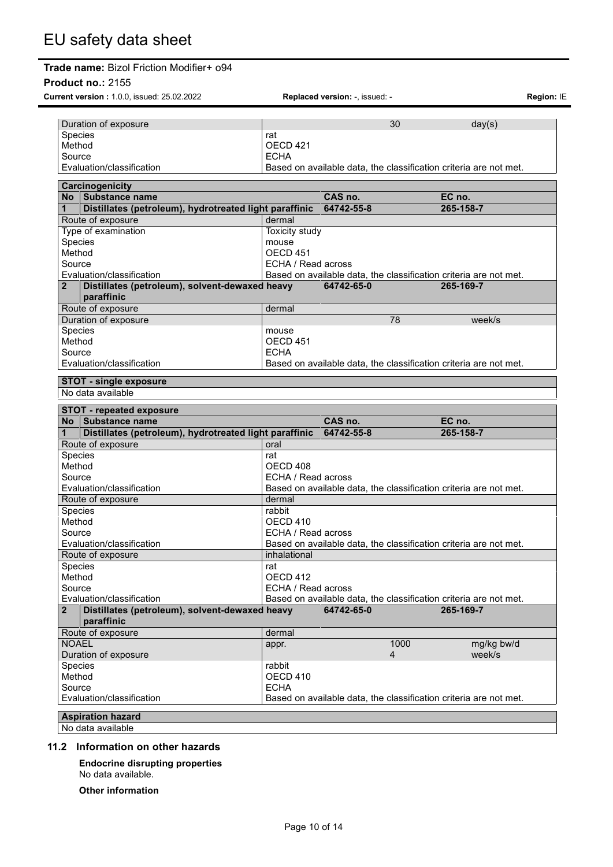#### **Trade name:** Bizol Friction Modifier+ o94 **Product no.:** 2155 **Current version :** 1.0.0, issued: 25.02.2022 **Replaced version:** -, issued: - **Region:** IE Duration of exposure **30** day(s) Species rate and the species of the second second second second second second second second second second second second second second second second second second second second second second second second second second seco OECD 421 Source ECHA Evaluation/classification Based on available data, the classification criteria are not met. **Carcinogenicity No Substance name CAS no. EC no. 1 Distillates** (petroleum), hydrotreated light paraffinic<br>te of exposure<br>dermal Route of exposure Type of examination Type of examination Species mouse mouse mouse mouse mouse mouse mouse mouse mouse mouse mouse mouse mouse mouse mouse mouse mouse  $\overline{OECD}$ Method OECD 451<br>Source ECHA / Re ECHA / Read across Evaluation/classification Based on available data, the classification criteria are not met. **2 Distillates (petroleum), solvent-dewaxed heavy paraffinic 64742-65-0 265-169-7** Route of exposure and a set of exposure dermal Duration of exposure **78** week/s Species mouse mouse Method **OECD** 451 Source **ECHA** Evaluation/classification Based on available data, the classification criteria are not met. **STOT - single exposure** No data available **STOT - repeated exposure No Substance name CAS no. EC no. 1 Distillates (petroleum), hydrotreated light paraffinic 64742-55-8 265-158-7** Route of exposure or all the state of exposure or all the state of  $\vert$  oral Species rate of the set of the set of the set of the set of the set of the set of the set of the set of the set of the set of the set of the set of the set of the set of the set of the set of the set of the set of the set OECD 408 Source **ECHA** / Read across Evaluation/classification Based on available data, the classification criteria are not met. Route of exposure and a set of exposure dermal Species rabbit<br>
Method rabbit<br>
OECD OECD 410 Source **ECHA** / Read across Evaluation/classification Based on available data, the classification criteria are not met. Route of exposure inhalational Species and the state of the state of the state and the state of the state of the state of the state of the state of the state of the state of the state of the state of the state of the state of the state of the state of t Method OECD 412 Source **ECHA** / Read across Evaluation/classification Based on available data, the classification criteria are not met. **2 Distillates (petroleum), solvent-dewaxed heavy paraffinic 64742-65-0 265-169-7** Route of exposure dermal NOAEL appr. 1000 mg/kg bw/d Duration of exposure the contract of the contract of the contract of the contract of the contract of the contract of the contract of the contract of the contract of the contract of the contract of the contract of the contr Species **rabbit** Method OECD 410 Source **ECHA** Evaluation/classification Based on available data, the classification criteria are not met. **Aspiration hazard**

No data available

# **11.2 Information on other hazards**

**Endocrine disrupting properties** No data available.

**Other information**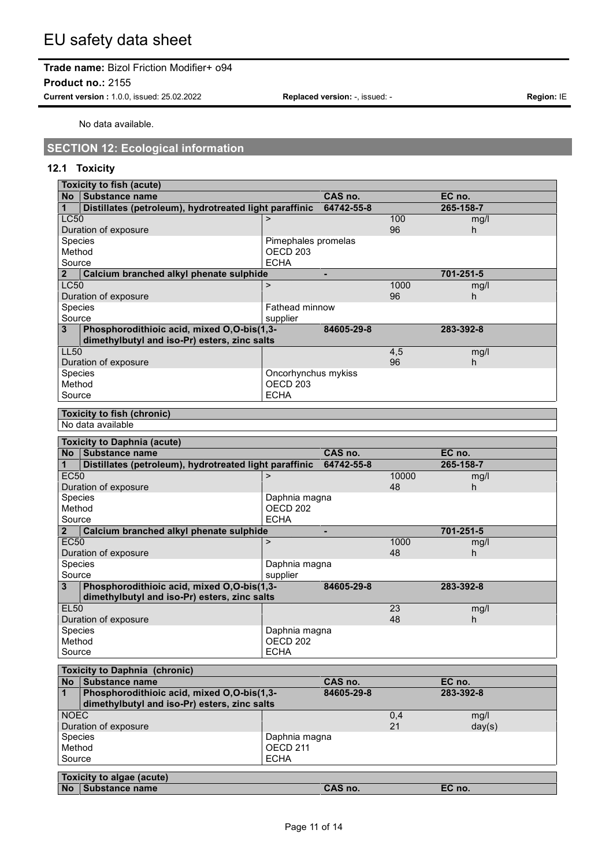# EU safety data sheet

# **Trade name:** Bizol Friction Modifier+ o94

**Product no.:** 2155

**Current version :** 1.0.0, issued: 25.02.2022 **Replaced version:** -, issued: - **Region:** IE

No data available.

# **SECTION 12: Ecological information**

# **12.1 Toxicity**

| <b>Toxicity to fish (acute)</b>                             |                                   |                |       |           |
|-------------------------------------------------------------|-----------------------------------|----------------|-------|-----------|
| No Substance name                                           |                                   | CAS no.        |       | EC no.    |
| Distillates (petroleum), hydrotreated light paraffinic<br>1 |                                   | 64742-55-8     |       | 265-158-7 |
| <b>LC50</b>                                                 | $\mathbf{r}$                      |                | 100   | mg/l      |
| Duration of exposure                                        |                                   |                | 96    | h         |
| Species                                                     | Pimephales promelas               |                |       |           |
| Method                                                      | OECD <sub>203</sub>               |                |       |           |
| Source                                                      | <b>ECHA</b>                       |                |       |           |
| 2 <sup>1</sup><br>Calcium branched alkyl phenate sulphide   |                                   | ٠              |       | 701-251-5 |
| <b>LC50</b>                                                 | $\geq$                            |                | 1000  | mg/l      |
| Duration of exposure                                        |                                   |                | 96    | h.        |
| Species<br>Source                                           | <b>Fathead minnow</b><br>supplier |                |       |           |
| Phosphorodithioic acid, mixed O,O-bis(1,3-<br>3             |                                   | 84605-29-8     |       | 283-392-8 |
| dimethylbutyl and iso-Pr) esters, zinc salts                |                                   |                |       |           |
| <b>LL50</b>                                                 |                                   |                | 4,5   | mg/l      |
| Duration of exposure                                        |                                   |                | 96    | h.        |
| Species                                                     | Oncorhynchus mykiss               |                |       |           |
| Method                                                      | OECD <sub>203</sub>               |                |       |           |
| Source                                                      | <b>ECHA</b>                       |                |       |           |
|                                                             |                                   |                |       |           |
| <b>Toxicity to fish (chronic)</b>                           |                                   |                |       |           |
| No data available                                           |                                   |                |       |           |
| <b>Toxicity to Daphnia (acute)</b>                          |                                   |                |       |           |
| No Substance name                                           |                                   | CAS no.        |       | EC no.    |
| Distillates (petroleum), hydrotreated light paraffinic<br>1 |                                   | 64742-55-8     |       | 265-158-7 |
| <b>EC50</b>                                                 | $\geq$                            |                | 10000 | mg/l      |
| Duration of exposure                                        |                                   |                | 48    | h         |
| Species                                                     | Daphnia magna                     |                |       |           |
| Method                                                      | OECD <sub>202</sub>               |                |       |           |
| Source                                                      | <b>ECHA</b>                       |                |       |           |
| Calcium branched alkyl phenate sulphide<br>$\mathbf{2}$     |                                   | $\blacksquare$ |       | 701-251-5 |
| <b>EC50</b>                                                 | $\geq$                            |                | 1000  | mg/l      |
| Duration of exposure                                        |                                   |                | 48    | h         |
| Species<br>Source                                           | Daphnia magna                     |                |       |           |
| Phosphorodithioic acid, mixed O,O-bis(1,3-<br>3             | supplier                          | 84605-29-8     |       | 283-392-8 |
| dimethylbutyl and iso-Pr) esters, zinc salts                |                                   |                |       |           |
| <b>EL50</b>                                                 |                                   |                | 23    | mg/l      |
| Duration of exposure                                        |                                   |                | 48    | h         |
| Species                                                     | Daphnia magna                     |                |       |           |
| Method                                                      | OECD 202                          |                |       |           |
| Source                                                      | <b>ECHA</b>                       |                |       |           |
|                                                             |                                   |                |       |           |
| <b>Toxicity to Daphnia (chronic)</b>                        |                                   |                |       |           |
| No Substance name                                           |                                   | CAS no.        |       | EC no.    |
| Phosphorodithioic acid, mixed O,O-bis(1,3-<br>1             |                                   | 84605-29-8     |       | 283-392-8 |
| dimethylbutyl and iso-Pr) esters, zinc salts                |                                   |                |       |           |
| <b>NOEC</b><br>Duration of exposure                         |                                   |                | 0,4   | mg/l      |
| Species                                                     | Daphnia magna                     |                | 21    | day(s)    |
| Method                                                      | OECD <sub>211</sub>               |                |       |           |
| Source                                                      | <b>ECHA</b>                       |                |       |           |
|                                                             |                                   |                |       |           |
| <b>Toxicity to algae (acute)</b>                            |                                   |                |       |           |
| No Substance name                                           |                                   | CAS no.        |       | EC no.    |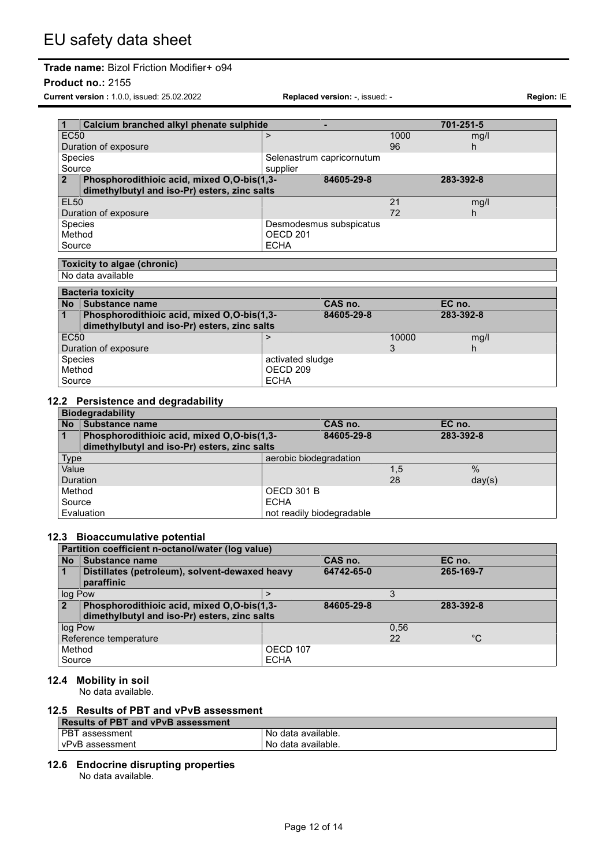#### **Product no.:** 2155

**Current version :** 1.0.0, issued: 25.02.2022 **Replaced version:** -, issued: - **Region:** IE

| Calcium branched alkyl phenate sulphide      |                           |      | 701-251-5 |
|----------------------------------------------|---------------------------|------|-----------|
| EC <sub>50</sub>                             |                           | 1000 | mg/l      |
| Duration of exposure                         |                           | 96   | h         |
| <b>Species</b>                               | Selenastrum capricornutum |      |           |
| Source                                       | supplier                  |      |           |
| Phosphorodithioic acid, mixed O,O-bis(1,3-   | 84605-29-8                |      | 283-392-8 |
| dimethylbutyl and iso-Pr) esters, zinc salts |                           |      |           |
| EL50                                         |                           | 21   | mg/l      |
| Duration of exposure                         |                           | 72   | h         |
| Species                                      | Desmodesmus subspicatus   |      |           |
| Method                                       | OECD 201                  |      |           |
| Source                                       | <b>ECHA</b>               |      |           |
|                                              |                           |      |           |

# **Toxicity to algae (chronic)**

No data available

|                             | <b>Bacteria toxicity</b>                     |             |            |       |           |  |
|-----------------------------|----------------------------------------------|-------------|------------|-------|-----------|--|
|                             | No Substance name                            |             | CAS no.    |       | EC no.    |  |
|                             | Phosphorodithioic acid, mixed O,O-bis(1,3-   |             | 84605-29-8 |       | 283-392-8 |  |
|                             | dimethylbutyl and iso-Pr) esters, zinc salts |             |            |       |           |  |
| EC <sub>50</sub>            |                                              |             |            | 10000 | mg/l      |  |
|                             | Duration of exposure                         |             |            | 3     | h         |  |
| Species<br>activated sludge |                                              |             |            |       |           |  |
|                             | Method<br>OECD <sub>209</sub>                |             |            |       |           |  |
| Source                      |                                              | <b>ECHA</b> |            |       |           |  |

# **12.2 Persistence and degradability**

|                 | <b>Biodegradability</b>                      |                           |     |           |  |
|-----------------|----------------------------------------------|---------------------------|-----|-----------|--|
|                 | No Substance name                            | CAS no.                   |     | EC no.    |  |
|                 | Phosphorodithioic acid, mixed O,O-bis(1,3-   | 84605-29-8                |     | 283-392-8 |  |
|                 | dimethylbutyl and iso-Pr) esters, zinc salts |                           |     |           |  |
| <b>Type</b>     |                                              | aerobic biodegradation    |     |           |  |
| Value           |                                              |                           | 1.5 | $\%$      |  |
| <b>Duration</b> |                                              |                           | 28  | day(s)    |  |
| Method          |                                              | <b>OECD 301 B</b>         |     |           |  |
| Source          |                                              | <b>ECHA</b>               |     |           |  |
|                 | Evaluation                                   | not readily biodegradable |     |           |  |

## **12.3 Bioaccumulative potential**

|           | Partition coefficient n-octanol/water (log value) |             |            |      |             |  |
|-----------|---------------------------------------------------|-------------|------------|------|-------------|--|
| <b>No</b> | Substance name                                    |             | CAS no.    |      | EC no.      |  |
|           | Distillates (petroleum), solvent-dewaxed heavy    |             | 64742-65-0 |      | 265-169-7   |  |
|           | paraffinic                                        |             |            |      |             |  |
| log Pow   |                                                   |             |            | ິ    |             |  |
|           | Phosphorodithioic acid, mixed O,O-bis(1,3-        |             | 84605-29-8 |      | 283-392-8   |  |
|           | dimethylbutyl and iso-Pr) esters, zinc salts      |             |            |      |             |  |
| log Pow   |                                                   |             |            | 0.56 |             |  |
|           | Reference temperature                             |             |            | 22   | $^{\circ}C$ |  |
| Method    |                                                   | OECD 107    |            |      |             |  |
| Source    |                                                   | <b>ECHA</b> |            |      |             |  |

### **12.4 Mobility in soil**

No data available.

# **12.5 Results of PBT and vPvB assessment**

| <b>Results of PBT and vPvB assessment</b> |                    |  |  |
|-------------------------------------------|--------------------|--|--|
| l PBT assessment                          | No data available. |  |  |
| l vPvB assessment                         | No data available. |  |  |

# **12.6 Endocrine disrupting properties**

No data available.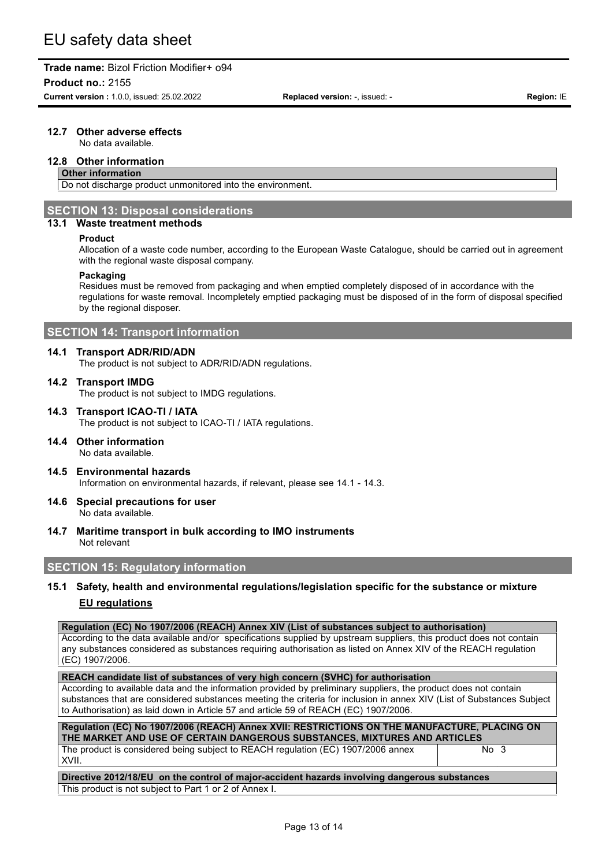**Product no.:** 2155

**Current version :** 1.0.0, issued: 25.02.2022 **Replaced version:** -, issued: - **Region:** IE

# **12.7 Other adverse effects**

No data available.

#### **12.8 Other information**

## **Other information**

Do not discharge product unmonitored into the environment.

# **SECTION 13: Disposal considerations**

# **13.1 Waste treatment methods**

#### **Product**

Allocation of a waste code number, according to the European Waste Catalogue, should be carried out in agreement with the regional waste disposal company.

#### **Packaging**

Residues must be removed from packaging and when emptied completely disposed of in accordance with the regulations for waste removal. Incompletely emptied packaging must be disposed of in the form of disposal specified by the regional disposer.

# **SECTION 14: Transport information**

#### **14.1 Transport ADR/RID/ADN**

The product is not subject to ADR/RID/ADN regulations.

#### **14.2 Transport IMDG**

The product is not subject to IMDG regulations.

# **14.3 Transport ICAO-TI / IATA**

The product is not subject to ICAO-TI / IATA regulations.

- **14.4 Other information** No data available.
- **14.5 Environmental hazards** Information on environmental hazards, if relevant, please see 14.1 - 14.3.

# **14.6 Special precautions for user**

No data available.

**14.7 Maritime transport in bulk according to IMO instruments** Not relevant

## **SECTION 15: Regulatory information**

# **15.1 Safety, health and environmental regulations/legislation specific for the substance or mixture EU regulations**

#### **Regulation (EC) No 1907/2006 (REACH) Annex XIV (List of substances subject to authorisation)**

According to the data available and/or specifications supplied by upstream suppliers, this product does not contain any substances considered as substances requiring authorisation as listed on Annex XIV of the REACH regulation (EC) 1907/2006.

**REACH candidate list of substances of very high concern (SVHC) for authorisation**

According to available data and the information provided by preliminary suppliers, the product does not contain substances that are considered substances meeting the criteria for inclusion in annex XIV (List of Substances Subject to Authorisation) as laid down in Article 57 and article 59 of REACH (EC) 1907/2006.

| Regulation (EC) No 1907/2006 (REACH) Annex XVII: RESTRICTIONS ON THE MANUFACTURE, PLACING ON<br>THE MARKET AND USE OF CERTAIN DANGEROUS SUBSTANCES. MIXTURES AND ARTICLES |                 |
|---------------------------------------------------------------------------------------------------------------------------------------------------------------------------|-----------------|
| The product is considered being subject to REACH regulation (EC) 1907/2006 annex<br>XVII.                                                                                 | No <sub>3</sub> |
|                                                                                                                                                                           |                 |

#### **Directive 2012/18/EU on the control of major-accident hazards involving dangerous substances** This product is not subject to Part 1 or 2 of Annex I.